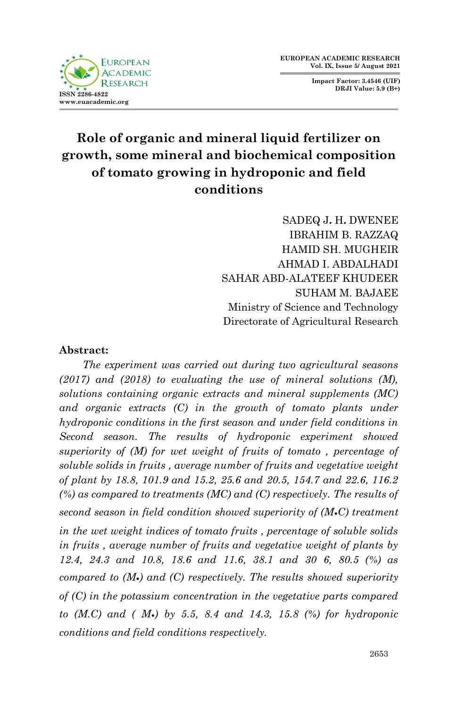**FUROPEAN ACADEMIC RESEARCH ISSN 2286-4822 www.euacademic.org**

**Impact Factor: 3.4546 (UIF) DRJI Value: 5.9 (B+)**

# **Role of organic and mineral liquid fertilizer on growth, some mineral and biochemical composition of tomato growing in hydroponic and field conditions**

SADEQ J**.** H**.** DWENEE IBRAHIM B. RAZZAQ HAMID SH. MUGHEIR AHMAD I. ABDALHADI SAHAR ABD-ALATEEF KHUDEER SUHAM M. BAJAEE Ministry of Science and Technology Directorate of Agricultural Research

## **Abstract:**

 *The experiment was carried out during two agricultural seasons (2017) and (2018) to evaluating the use of mineral solutions (M), solutions containing organic extracts and mineral supplements (MC) and organic extracts (C) in the growth of tomato plants under hydroponic conditions in the first season and under field conditions in Second season. The results of hydroponic experiment showed superiority of (M) for wet weight of fruits of tomato , percentage of soluble solids in fruits , average number of fruits and vegetative weight of plant by 18.8, 101.9 and 15.2, 25.6 and 20.5, 154.7 and 22.6, 116.2 (%) as compared to treatments (MC) and (C) respectively. The results of second season in field condition showed superiority of (M***॰***C) treatment in the wet weight indices of tomato fruits , percentage of soluble solids in fruits , average number of fruits and vegetative weight of plants by 12.4, 24.3 and 10.8, 18.6 and 11.6, 38.1 and 30 6, 80.5 (%) as compared to (M***॰***) and (C) respectively. The results showed superiority of (C) in the potassium concentration in the vegetative parts compared to (M.C) and ( M***॰***) by 5.5, 8.4 and 14.3, 15.8 (%) for hydroponic conditions and field conditions respectively.*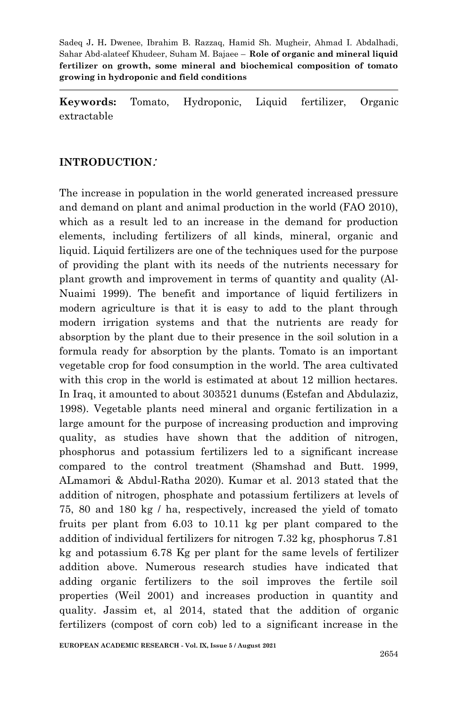**Keywords:** Tomato, Hydroponic, Liquid fertilizer, Organic extractable

#### **INTRODUCTION**:

The increase in population in the world generated increased pressure and demand on plant and animal production in the world (FAO 2010), which as a result led to an increase in the demand for production elements, including fertilizers of all kinds, mineral, organic and liquid. Liquid fertilizers are one of the techniques used for the purpose of providing the plant with its needs of the nutrients necessary for plant growth and improvement in terms of quantity and quality (Al-Nuaimi 1999). The benefit and importance of liquid fertilizers in modern agriculture is that it is easy to add to the plant through modern irrigation systems and that the nutrients are ready for absorption by the plant due to their presence in the soil solution in a formula ready for absorption by the plants. Tomato is an important vegetable crop for food consumption in the world. The area cultivated with this crop in the world is estimated at about 12 million hectares. In Iraq, it amounted to about 303521 dunums (Estefan and Abdulaziz, 1998). Vegetable plants need mineral and organic fertilization in a large amount for the purpose of increasing production and improving quality, as studies have shown that the addition of nitrogen, phosphorus and potassium fertilizers led to a significant increase compared to the control treatment (Shamshad and Butt. 1999, ALmamori & Abdul-Ratha 2020). Kumar et al. 2013 stated that the addition of nitrogen, phosphate and potassium fertilizers at levels of 75, 80 and 180 kg / ha, respectively, increased the yield of tomato fruits per plant from 6.03 to 10.11 kg per plant compared to the addition of individual fertilizers for nitrogen 7.32 kg, phosphorus 7.81 kg and potassium 6.78 Kg per plant for the same levels of fertilizer addition above. Numerous research studies have indicated that adding organic fertilizers to the soil improves the fertile soil properties (Weil 2001) and increases production in quantity and quality. Jassim et, al 2014, stated that the addition of organic fertilizers (compost of corn cob) led to a significant increase in the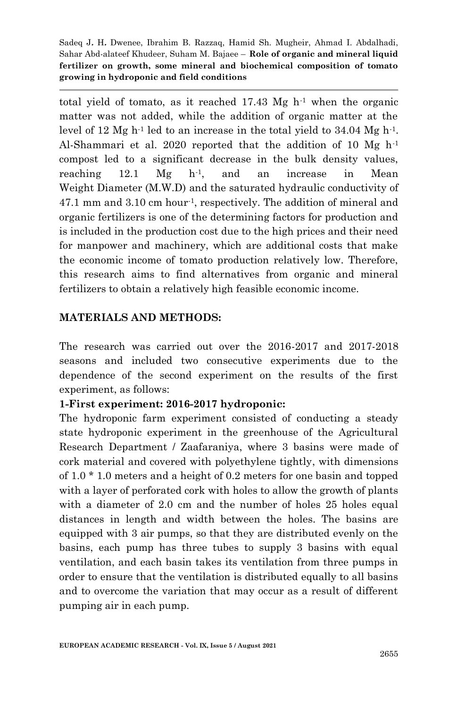total yield of tomato, as it reached  $17.43 \text{ Mg} \text{ h}^{-1}$  when the organic matter was not added, while the addition of organic matter at the level of 12 Mg  $h^{-1}$  led to an increase in the total yield to 34.04 Mg  $h^{-1}$ . Al-Shammari et al. 2020 reported that the addition of 10 Mg h-1 compost led to a significant decrease in the bulk density values, reaching 12.1  $Mg$  h<sup>-1</sup>, and an increase in Mean Weight Diameter (M.W.D) and the saturated hydraulic conductivity of 47.1 mm and 3.10 cm hour-1, respectively. The addition of mineral and organic fertilizers is one of the determining factors for production and is included in the production cost due to the high prices and their need for manpower and machinery, which are additional costs that make the economic income of tomato production relatively low. Therefore, this research aims to find alternatives from organic and mineral fertilizers to obtain a relatively high feasible economic income.

## **MATERIALS AND METHODS:**

The research was carried out over the 2016-2017 and 2017-2018 seasons and included two consecutive experiments due to the dependence of the second experiment on the results of the first experiment, as follows:

## **1-First experiment: 2016-2017 hydroponic:**

The hydroponic farm experiment consisted of conducting a steady state hydroponic experiment in the greenhouse of the Agricultural Research Department / Zaafaraniya, where 3 basins were made of cork material and covered with polyethylene tightly, with dimensions of 1.0 \* 1.0 meters and a height of 0.2 meters for one basin and topped with a layer of perforated cork with holes to allow the growth of plants with a diameter of 2.0 cm and the number of holes 25 holes equal distances in length and width between the holes. The basins are equipped with 3 air pumps, so that they are distributed evenly on the basins, each pump has three tubes to supply 3 basins with equal ventilation, and each basin takes its ventilation from three pumps in order to ensure that the ventilation is distributed equally to all basins and to overcome the variation that may occur as a result of different pumping air in each pump.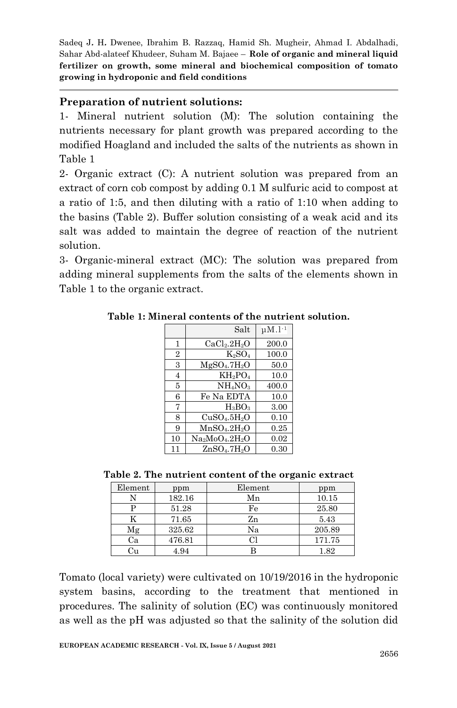## **Preparation of nutrient solutions:**

1- Mineral nutrient solution (M): The solution containing the nutrients necessary for plant growth was prepared according to the modified Hoagland and included the salts of the nutrients as shown in Table 1

2- Organic extract (C): A nutrient solution was prepared from an extract of corn cob compost by adding 0.1 M sulfuric acid to compost at a ratio of 1:5, and then diluting with a ratio of 1:10 when adding to the basins (Table 2). Buffer solution consisting of a weak acid and its salt was added to maintain the degree of reaction of the nutrient solution.

3- Organic-mineral extract (MC): The solution was prepared from adding mineral supplements from the salts of the elements shown in Table 1 to the organic extract.

|                | Salt                                 | $\mu$ M. <sup>1-1</sup> |
|----------------|--------------------------------------|-------------------------|
| 1              | CaCl <sub>2</sub> .2H <sub>2</sub> O | 200.0                   |
| $\overline{2}$ | $K_2SO_4$                            | 100.0                   |
| 3              | MgSO <sub>4</sub> .7H <sub>2</sub> O | 50.0                    |
| 4              | $KH_2PO_4$                           | 10.0                    |
| 5              | NH <sub>4</sub> NO <sub>3</sub>      | 400.0                   |
| 6              | Fe Na EDTA                           | 10.0                    |
| 7              | $H_3BO_3$                            | 3.00                    |
| 8              | CuSO <sub>4</sub> .5H <sub>2</sub> O | 0.10                    |
| 9              | MnSO <sub>4</sub> .2H <sub>2</sub> O | 0.25                    |
| 10             | $Na_2MoO_4.2H_2O$                    | 0.02                    |
| 11             | ZnSO <sub>4</sub> .7H <sub>2</sub> O | 0.30                    |

**Table 1: Mineral contents of the nutrient solution.**

**Table 2. The nutrient content of the organic extract**

| Element | ppm    | Element | ppm    |
|---------|--------|---------|--------|
|         | 182.16 | Мn      | 10.15  |
|         | 51.28  | Fe      | 25.80  |
|         | 71.65  | Zn      | 5.43   |
| Мg      | 325.62 | Na      | 205.89 |
| Сa      | 476.81 |         | 171.75 |
|         | 4.94   |         | .82    |

Tomato (local variety) were cultivated on 10/19/2016 in the hydroponic system basins, according to the treatment that mentioned in procedures. The salinity of solution (EC) was continuously monitored as well as the pH was adjusted so that the salinity of the solution did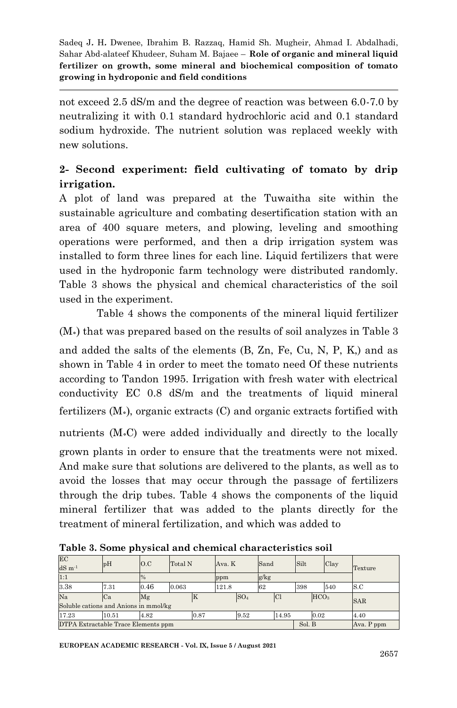not exceed 2.5 dS/m and the degree of reaction was between 6.0-7.0 by neutralizing it with 0.1 standard hydrochloric acid and 0.1 standard sodium hydroxide. The nutrient solution was replaced weekly with new solutions.

## **2- Second experiment: field cultivating of tomato by drip irrigation.**

A plot of land was prepared at the Tuwaitha site within the sustainable agriculture and combating desertification station with an area of 400 square meters, and plowing, leveling and smoothing operations were performed, and then a drip irrigation system was installed to form three lines for each line. Liquid fertilizers that were used in the hydroponic farm technology were distributed randomly. Table 3 shows the physical and chemical characteristics of the soil used in the experiment.

Table 4 shows the components of the mineral liquid fertilizer (M॰) that was prepared based on the results of soil analyzes in Table 3 and added the salts of the elements (B, Zn, Fe, Cu, N, P, K,) and as shown in Table 4 in order to meet the tomato need Of these nutrients according to Tandon 1995. Irrigation with fresh water with electrical conductivity EC 0.8 dS/m and the treatments of liquid mineral fertilizers (M॰), organic extracts (C) and organic extracts fortified with nutrients (M॰C) were added individually and directly to the locally

grown plants in order to ensure that the treatments were not mixed. And make sure that solutions are delivered to the plants, as well as to avoid the losses that may occur through the passage of fertilizers through the drip tubes. Table 4 shows the components of the liquid mineral fertilizer that was added to the plants directly for the treatment of mineral fertilization, and which was added to

| EC<br>$dS \, m^{-1}$                          | pH                                    | O.C            | Total N |      | Ava. K     |                 | Sand |           | Silt |                  | Clay | Texture    |
|-----------------------------------------------|---------------------------------------|----------------|---------|------|------------|-----------------|------|-----------|------|------------------|------|------------|
| 1:1                                           |                                       | $\frac{10}{6}$ |         |      | ppm        |                 | g/kg |           |      |                  |      |            |
| 3.38                                          | 7.31                                  | 0.46           | 0.063   |      | 121.8      |                 | 62   |           | 398  |                  | 540  | S.C        |
| Na                                            | Ca                                    | Mg             |         | ĸ    |            | SO <sub>4</sub> |      | <b>Cl</b> |      | HCO <sub>3</sub> |      | <b>SAR</b> |
|                                               | Soluble cations and Anions in mmol/kg |                |         |      |            |                 |      |           |      |                  |      |            |
| 17.23                                         | 10.51                                 | 4.82           |         | 0.87 |            | 9.52            |      | 14.95     |      | 0.02             |      | 4.40       |
| DTPA Extractable Trace Elements ppm<br>Sol. B |                                       |                |         |      | Ava. P ppm |                 |      |           |      |                  |      |            |

**Table 3. Some physical and chemical characteristics soil**

**EUROPEAN ACADEMIC RESEARCH - Vol. IX, Issue 5 / August 2021**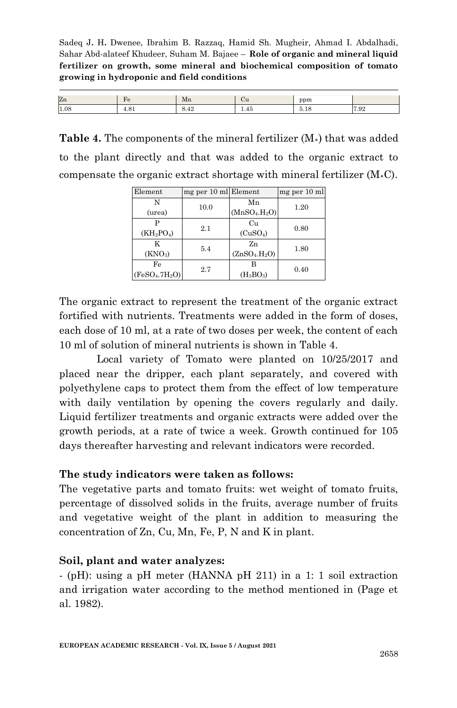| Zn   | - HY  | Mn   | vu   | ppm              |      |
|------|-------|------|------|------------------|------|
| 1.08 | 7.U 1 | 0.44 | 1.40 | <b>A</b><br>0.IC | 7.92 |

**Table 4.** The components of the mineral fertilizer (M॰) that was added to the plant directly and that was added to the organic extract to compensate the organic extract shortage with mineral fertilizer  $(M \cdot C)$ .

| Element                                | mg per 10 ml Element |                                       | mg per 10 ml |
|----------------------------------------|----------------------|---------------------------------------|--------------|
| N                                      | 10.0                 | Mn                                    | 1.20         |
| (urea)                                 |                      | (MnSO <sub>4</sub> ,H <sub>2</sub> O) |              |
|                                        | 2.1                  | Cu                                    | 0.80         |
| $(KH_2PO_4)$                           |                      | (CuSO <sub>4</sub> )                  |              |
| K                                      | 5.4                  | Zn                                    | 1.80         |
| (KNO <sub>3</sub> )                    |                      | (ZnSO <sub>4</sub> ,H <sub>2</sub> O) |              |
| Fe                                     | 2.7                  |                                       | 0.40         |
| (FeSO <sub>4</sub> .7H <sub>2</sub> O) |                      | (H <sub>3</sub> BO <sub>3</sub> )     |              |

The organic extract to represent the treatment of the organic extract fortified with nutrients. Treatments were added in the form of doses, each dose of 10 ml, at a rate of two doses per week, the content of each 10 ml of solution of mineral nutrients is shown in Table 4.

Local variety of Tomato were planted on 10/25/2017 and placed near the dripper, each plant separately, and covered with polyethylene caps to protect them from the effect of low temperature with daily ventilation by opening the covers regularly and daily. Liquid fertilizer treatments and organic extracts were added over the growth periods, at a rate of twice a week. Growth continued for 105 days thereafter harvesting and relevant indicators were recorded.

#### **The study indicators were taken as follows:**

The vegetative parts and tomato fruits: wet weight of tomato fruits, percentage of dissolved solids in the fruits, average number of fruits and vegetative weight of the plant in addition to measuring the concentration of Zn, Cu, Mn, Fe, P, N and K in plant.

#### **Soil, plant and water analyzes:**

- (pH): using a pH meter (HANNA pH 211) in a 1: 1 soil extraction and irrigation water according to the method mentioned in (Page et al. 1982).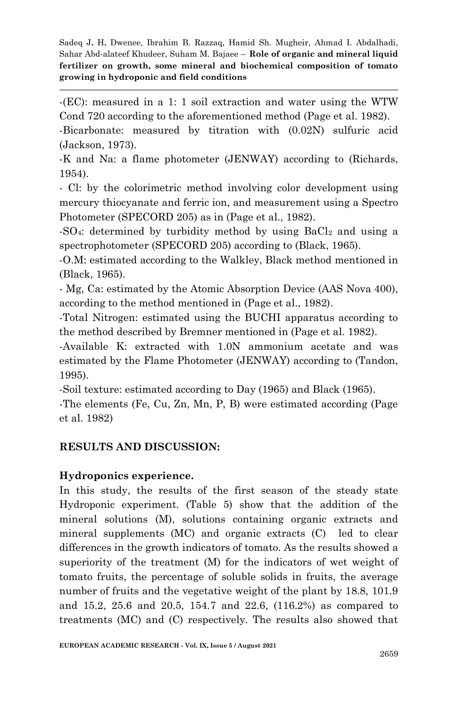-(EC): measured in a 1: 1 soil extraction and water using the WTW Cond 720 according to the aforementioned method (Page et al. 1982).

-Bicarbonate: measured by titration with (0.02N) sulfuric acid (Jackson, 1973).

-K and Na: a flame photometer (JENWAY) according to (Richards, 1954).

- Cl: by the colorimetric method involving color development using mercury thiocyanate and ferric ion, and measurement using a Spectro Photometer (SPECORD 205) as in (Page et al., 1982).

-SO<sub>4</sub>: determined by turbidity method by using BaCl<sub>2</sub> and using a spectrophotometer (SPECORD 205) according to (Black, 1965).

-O.M: estimated according to the Walkley, Black method mentioned in (Black, 1965).

- Mg, Ca: estimated by the Atomic Absorption Device (AAS Nova 400), according to the method mentioned in (Page et al., 1982).

-Total Nitrogen: estimated using the BUCHI apparatus according to the method described by Bremner mentioned in (Page et al. 1982).

-Available K: extracted with 1.0N ammonium acetate and was estimated by the Flame Photometer (JENWAY) according to (Tandon, 1995).

-Soil texture: estimated according to Day (1965) and Black (1965).

-The elements (Fe, Cu, Zn, Mn, P, B) were estimated according (Page et al. 1982)

## **RESULTS AND DISCUSSION:**

## **Hydroponics experience.**

In this study, the results of the first season of the steady state Hydroponic experiment. (Table 5) show that the addition of the mineral solutions (M), solutions containing organic extracts and mineral supplements (MC) and organic extracts (C) led to clear differences in the growth indicators of tomato. As the results showed a superiority of the treatment (M) for the indicators of wet weight of tomato fruits, the percentage of soluble solids in fruits, the average number of fruits and the vegetative weight of the plant by 18.8, 101.9 and 15.2, 25.6 and 20.5, 154.7 and 22.6, (116.2%) as compared to treatments (MC) and (C) respectively. The results also showed that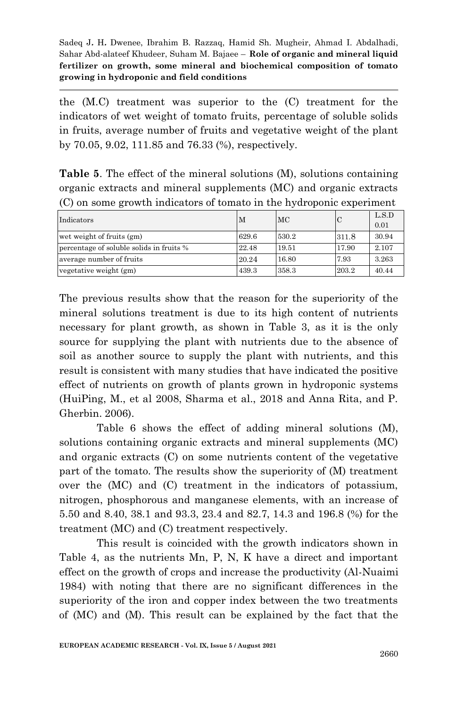the (M.C) treatment was superior to the (C) treatment for the indicators of wet weight of tomato fruits, percentage of soluble solids in fruits, average number of fruits and vegetative weight of the plant by 70.05, 9.02, 111.85 and 76.33 (%), respectively.

**Table 5**. The effect of the mineral solutions (M), solutions containing organic extracts and mineral supplements (MC) and organic extracts (C) on some growth indicators of tomato in the hydroponic experiment

| Indicators                               | M     | MC    |       | L.S.D<br>0.01 |
|------------------------------------------|-------|-------|-------|---------------|
| wet weight of fruits (gm)                | 629.6 | 530.2 | 311.8 | 30.94         |
| percentage of soluble solids in fruits % | 22.48 | 19.51 | 17.90 | 2.107         |
| average number of fruits                 | 20.24 | 16.80 | 7.93  | 3.263         |
| vegetative weight (gm)                   | 439.3 | 358.3 | 203.2 | 40.44         |

The previous results show that the reason for the superiority of the mineral solutions treatment is due to its high content of nutrients necessary for plant growth, as shown in Table 3, as it is the only source for supplying the plant with nutrients due to the absence of soil as another source to supply the plant with nutrients, and this result is consistent with many studies that have indicated the positive effect of nutrients on growth of plants grown in hydroponic systems (HuiPing, M., et al 2008, Sharma et al., 2018 and Anna Rita, and P. Gherbin. 2006).

Table 6 shows the effect of adding mineral solutions (M), solutions containing organic extracts and mineral supplements (MC) and organic extracts (C) on some nutrients content of the vegetative part of the tomato. The results show the superiority of (M) treatment over the (MC) and (C) treatment in the indicators of potassium, nitrogen, phosphorous and manganese elements, with an increase of 5.50 and 8.40, 38.1 and 93.3, 23.4 and 82.7, 14.3 and 196.8 (%) for the treatment (MC) and (C) treatment respectively.

This result is coincided with the growth indicators shown in Table 4, as the nutrients Mn, P, N, K have a direct and important effect on the growth of crops and increase the productivity (Al-Nuaimi 1984) with noting that there are no significant differences in the superiority of the iron and copper index between the two treatments of (MC) and (M). This result can be explained by the fact that the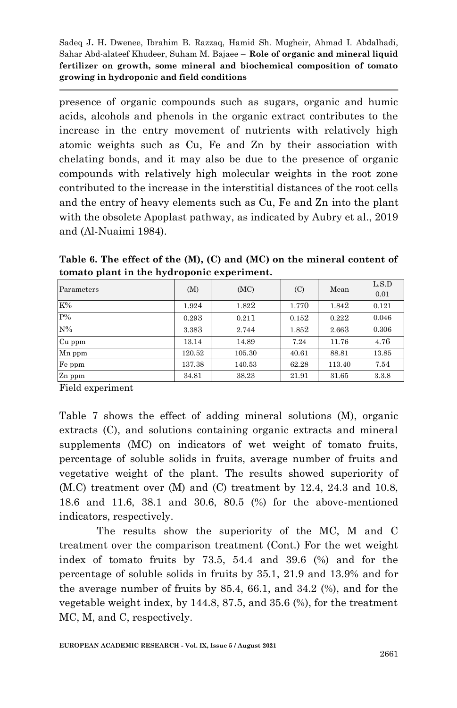presence of organic compounds such as sugars, organic and humic acids, alcohols and phenols in the organic extract contributes to the increase in the entry movement of nutrients with relatively high atomic weights such as Cu, Fe and Zn by their association with chelating bonds, and it may also be due to the presence of organic compounds with relatively high molecular weights in the root zone contributed to the increase in the interstitial distances of the root cells and the entry of heavy elements such as Cu, Fe and Zn into the plant with the obsolete Apoplast pathway, as indicated by Aubry et al., 2019 and (Al-Nuaimi 1984).

**Table 6. The effect of the (M), (C) and (MC) on the mineral content of tomato plant in the hydroponic experiment.**

| Parameters | (M)    | (MC)   | (C)   | Mean   | L.S.D<br>0.01 |
|------------|--------|--------|-------|--------|---------------|
| $K\%$      | 1.924  | 1.822  | 1.770 | 1.842  | 0.121         |
| $P\%$      | 0.293  | 0.211  | 0.152 | 0.222  | 0.046         |
| $N\%$      | 3.383  | 2.744  | 1.852 | 2.663  | 0.306         |
| Cu ppm     | 13.14  | 14.89  | 7.24  | 11.76  | 4.76          |
| Mn ppm     | 120.52 | 105.30 | 40.61 | 88.81  | 13.85         |
| Fe ppm     | 137.38 | 140.53 | 62.28 | 113.40 | 7.54          |
| Zn ppm     | 34.81  | 38.23  | 21.91 | 31.65  | 3.3.8         |

Field experiment

Table 7 shows the effect of adding mineral solutions (M), organic extracts (C), and solutions containing organic extracts and mineral supplements (MC) on indicators of wet weight of tomato fruits, percentage of soluble solids in fruits, average number of fruits and vegetative weight of the plant. The results showed superiority of (M.C) treatment over (M) and (C) treatment by 12.4, 24.3 and 10.8, 18.6 and 11.6, 38.1 and 30.6, 80.5 (%) for the above-mentioned indicators, respectively.

The results show the superiority of the MC, M and C treatment over the comparison treatment (Cont.) For the wet weight index of tomato fruits by 73.5, 54.4 and 39.6 (%) and for the percentage of soluble solids in fruits by 35.1, 21.9 and 13.9% and for the average number of fruits by 85.4, 66.1, and 34.2 (%), and for the vegetable weight index, by 144.8, 87.5, and 35.6 (%), for the treatment MC, M, and C, respectively.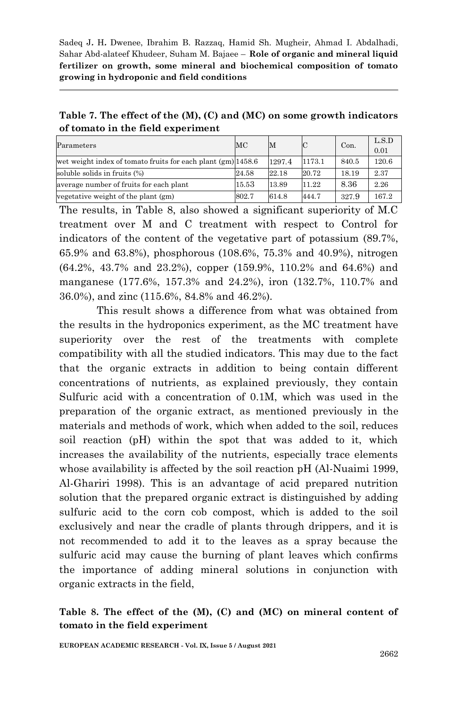**Table 7. The effect of the (M), (C) and (MC) on some growth indicators of tomato in the field experiment**

| Parameters                                                     | MC    | M      |        | Con.  | L.S.D<br>0.01 |
|----------------------------------------------------------------|-------|--------|--------|-------|---------------|
| wet weight index of tomato fruits for each plant $(gm)$ 1458.6 |       | 1297.4 | 1173.1 | 840.5 | 120.6         |
| soluble solids in fruits (%)                                   | 24.58 | 22.18  | 20.72  | 18.19 | 2.37          |
| average number of fruits for each plant                        | 15.53 | 13.89  | 11.22  | 8.36  | 2.26          |
| vegetative weight of the plant (gm)                            | 802.7 | 614.8  | 444.7  | 327.9 | 167.2         |

The results, in Table 8, also showed a significant superiority of M.C treatment over M and C treatment with respect to Control for indicators of the content of the vegetative part of potassium (89.7%, 65.9% and 63.8%), phosphorous (108.6%, 75.3% and 40.9%), nitrogen (64.2%, 43.7% and 23.2%), copper (159.9%, 110.2% and 64.6%) and manganese (177.6%, 157.3% and 24.2%), iron (132.7%, 110.7% and 36.0%), and zinc (115.6%, 84.8% and 46.2%).

This result shows a difference from what was obtained from the results in the hydroponics experiment, as the MC treatment have superiority over the rest of the treatments with complete compatibility with all the studied indicators. This may due to the fact that the organic extracts in addition to being contain different concentrations of nutrients, as explained previously, they contain Sulfuric acid with a concentration of 0.1M, which was used in the preparation of the organic extract, as mentioned previously in the materials and methods of work, which when added to the soil, reduces soil reaction (pH) within the spot that was added to it, which increases the availability of the nutrients, especially trace elements whose availability is affected by the soil reaction pH (Al-Nuaimi 1999, Al-Ghariri 1998). This is an advantage of acid prepared nutrition solution that the prepared organic extract is distinguished by adding sulfuric acid to the corn cob compost, which is added to the soil exclusively and near the cradle of plants through drippers, and it is not recommended to add it to the leaves as a spray because the sulfuric acid may cause the burning of plant leaves which confirms the importance of adding mineral solutions in conjunction with organic extracts in the field,

#### **Table 8. The effect of the (M), (C) and (MC) on mineral content of tomato in the field experiment**

**EUROPEAN ACADEMIC RESEARCH - Vol. IX, Issue 5 / August 2021**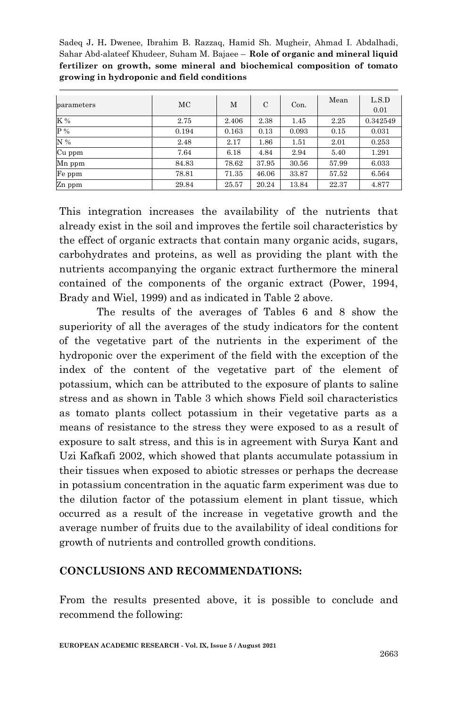| parameters     | MC    | М     | $\mathcal{C}$ | Con.  | Mean  | L.S.D    |
|----------------|-------|-------|---------------|-------|-------|----------|
|                |       |       |               |       |       | 0.01     |
| K %            | 2.75  | 2.406 | 2.38          | 1.45  | 2.25  | 0.342549 |
| $\mathbf{P}$ % | 0.194 | 0.163 | 0.13          | 0.093 | 0.15  | 0.031    |
| N %            | 2.48  | 2.17  | 1.86          | 1.51  | 2.01  | 0.253    |
| Cu ppm         | 7.64  | 6.18  | 4.84          | 2.94  | 5.40  | 1.291    |
| Mn ppm         | 84.83 | 78.62 | 37.95         | 30.56 | 57.99 | 6.033    |
| Fe ppm         | 78.81 | 71.35 | 46.06         | 33.87 | 57.52 | 6.564    |
| Zn ppm         | 29.84 | 25.57 | 20.24         | 13.84 | 22.37 | 4.877    |

This integration increases the availability of the nutrients that already exist in the soil and improves the fertile soil characteristics by the effect of organic extracts that contain many organic acids, sugars, carbohydrates and proteins, as well as providing the plant with the nutrients accompanying the organic extract furthermore the mineral contained of the components of the organic extract (Power, 1994, Brady and Wiel, 1999) and as indicated in Table 2 above.

The results of the averages of Tables 6 and 8 show the superiority of all the averages of the study indicators for the content of the vegetative part of the nutrients in the experiment of the hydroponic over the experiment of the field with the exception of the index of the content of the vegetative part of the element of potassium, which can be attributed to the exposure of plants to saline stress and as shown in Table 3 which shows Field soil characteristics as tomato plants collect potassium in their vegetative parts as a means of resistance to the stress they were exposed to as a result of exposure to salt stress, and this is in agreement with Surya Kant and Uzi Kafkafi 2002, which showed that plants accumulate potassium in their tissues when exposed to abiotic stresses or perhaps the decrease in potassium concentration in the aquatic farm experiment was due to the dilution factor of the potassium element in plant tissue, which occurred as a result of the increase in vegetative growth and the average number of fruits due to the availability of ideal conditions for growth of nutrients and controlled growth conditions.

## **CONCLUSIONS AND RECOMMENDATIONS:**

From the results presented above, it is possible to conclude and recommend the following: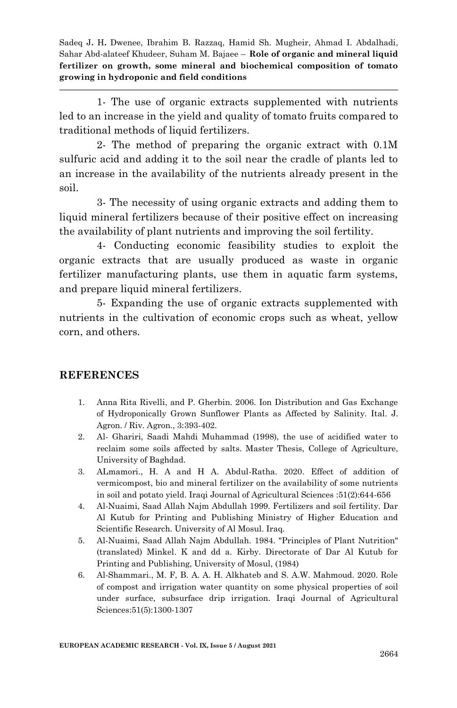1- The use of organic extracts supplemented with nutrients led to an increase in the yield and quality of tomato fruits compared to traditional methods of liquid fertilizers.

2- The method of preparing the organic extract with 0.1M sulfuric acid and adding it to the soil near the cradle of plants led to an increase in the availability of the nutrients already present in the soil.

3- The necessity of using organic extracts and adding them to liquid mineral fertilizers because of their positive effect on increasing the availability of plant nutrients and improving the soil fertility.

4- Conducting economic feasibility studies to exploit the organic extracts that are usually produced as waste in organic fertilizer manufacturing plants, use them in aquatic farm systems, and prepare liquid mineral fertilizers.

5- Expanding the use of organic extracts supplemented with nutrients in the cultivation of economic crops such as wheat, yellow corn, and others.

## **REFERENCES**

- 1. Anna Rita Rivelli, and P. Gherbin. 2006. Ion Distribution and Gas Exchange of Hydroponically Grown Sunflower Plants as Affected by Salinity. Ital. J. Agron. / Riv. Agron., 3:393-402.
- 2. Al- Ghariri, Saadi Mahdi Muhammad (1998), the use of acidified water to reclaim some soils affected by salts. Master Thesis, College of Agriculture, University of Baghdad.
- 3. ALmamori., H. A and H A. Abdul-Ratha. 2020. Effect of addition of vermicompost, bio and mineral fertilizer on the availability of some nutrients in soil and potato yield. Iraqi Journal of Agricultural Sciences :51(2):644-656
- 4. Al-Nuaimi, Saad Allah Najm Abdullah 1999. Fertilizers and soil fertility. Dar Al Kutub for Printing and Publishing Ministry of Higher Education and Scientific Research. University of Al Mosul. Iraq.
- 5. Al-Nuaimi, Saad Allah Najm Abdullah. 1984. "Principles of Plant Nutrition" (translated) Minkel. K and dd a. Kirby. Directorate of Dar Al Kutub for Printing and Publishing, University of Mosul, (1984)
- 6. Al-Shammari., M. F, B. A. A. H. Alkhateb and S. A.W. Mahmoud. 2020. Role of compost and irrigation water quantity on some physical properties of soil under surface, subsurface drip irrigation. Iraqi Journal of Agricultural Sciences:51(5):1300-1307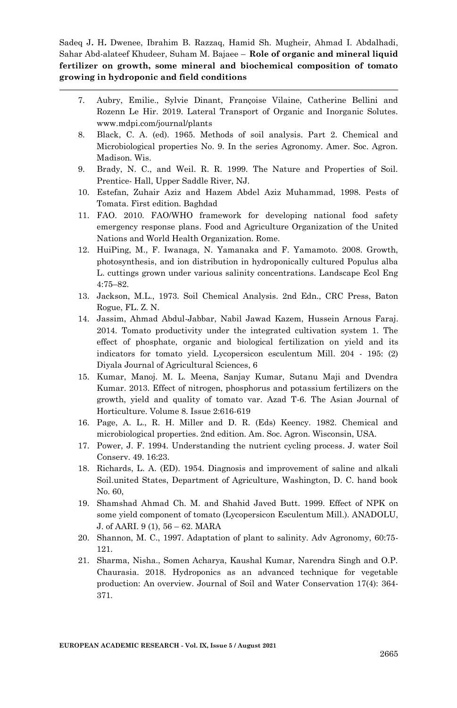- 7. Aubry, Emilie., Sylvie Dinant, Françoise Vilaine, Catherine Bellini and Rozenn Le Hir. 2019. Lateral Transport of Organic and Inorganic Solutes. www.mdpi.com/journal/plants
- 8. Black, C. A. (ed). 1965. Methods of soil analysis. Part 2. Chemical and Microbiological properties No. 9. In the series Agronomy. Amer. Soc. Agron. Madison. Wis.
- 9. Brady, N. C., and Weil. R. R. 1999. The Nature and Properties of Soil. Prentice- Hall, Upper Saddle River, NJ.
- 10. Estefan, Zuhair Aziz and Hazem Abdel Aziz Muhammad, 1998. Pests of Tomata. First edition. Baghdad
- 11. FAO. 2010. FAO/WHO framework for developing national food safety emergency response plans. Food and Agriculture Organization of the United Nations and World Health Organization. Rome.
- 12. HuiPing, M., F. Iwanaga, N. Yamanaka and F. Yamamoto. 2008. Growth, photosynthesis, and ion distribution in hydroponically cultured Populus alba L. cuttings grown under various salinity concentrations. Landscape Ecol Eng 4:75–82.
- 13. Jackson, M.L., 1973. Soil Chemical Analysis. 2nd Edn., CRC Press, Baton Rogue, FL. Z. N.
- 14. Jassim, Ahmad Abdul-Jabbar, Nabil Jawad Kazem, Hussein Arnous Faraj. 2014. Tomato productivity under the integrated cultivation system 1. The effect of phosphate, organic and biological fertilization on yield and its indicators for tomato yield. Lycopersicon esculentum Mill. 204 - 195: (2) Diyala Journal of Agricultural Sciences, 6
- 15. Kumar, Manoj. M. L. Meena, Sanjay Kumar, Sutanu Maji and Dvendra Kumar. 2013. Effect of nitrogen, phosphorus and potassium fertilizers on the growth, yield and quality of tomato var. Azad T-6. The Asian Journal of Horticulture. Volume 8. Issue 2:616-619
- 16. Page, A. L., R. H. Miller and D. R. (Eds) Keency. 1982. Chemical and microbiological properties. 2nd edition. Am. Soc. Agron. Wisconsin, USA.
- 17. Power, J. F. 1994. Understanding the nutrient cycling process. J. water Soil Conserv. 49. 16:23.
- 18. Richards, L. A. (ED). 1954. Diagnosis and improvement of saline and alkali Soil.united States, Department of Agriculture, Washington, D. C. hand book No. 60,
- 19. Shamshad Ahmad Ch. M. and Shahid Javed Butt. 1999. Effect of NPK on some yield component of tomato (Lycopersicon Esculentum Mill.). ANADOLU, J. of AARI. 9 (1), 56 – 62. MARA
- 20. Shannon, M. C., 1997. Adaptation of plant to salinity. Adv Agronomy, 60:75- 121.
- 21. Sharma, Nisha., Somen Acharya, Kaushal Kumar, Narendra Singh and O.P. Chaurasia. 2018. Hydroponics as an advanced technique for vegetable production: An overview. Journal of Soil and Water Conservation 17(4): 364- 371.